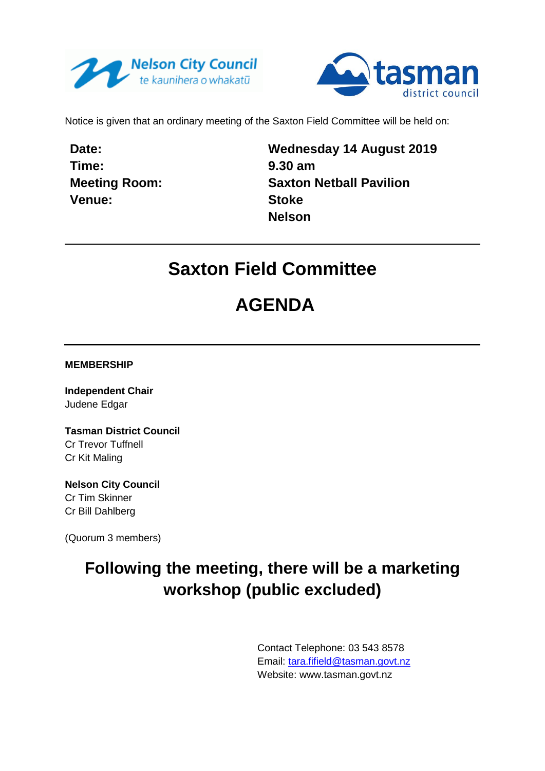



Notice is given that an ordinary meeting of the Saxton Field Committee will be held on:

**Date: Time: Meeting Room: Venue:**

**Wednesday 14 August 2019 9.30 am Saxton Netball Pavilion Stoke Nelson**

## **Saxton Field Committee**

# **AGENDA**

**MEMBERSHIP**

**Independent Chair** Judene Edgar

**Tasman District Council** Cr Trevor Tuffnell Cr Kit Maling

**Nelson City Council** Cr Tim Skinner Cr Bill Dahlberg

(Quorum 3 members)

## **Following the meeting, there will be a marketing workshop (public excluded)**

Contact Telephone: 03 543 8578 Email: [tara.fifield@tasman.govt.nz](mailto:tara.fifield@tasman.govt.nz) Website: www.tasman.govt.nz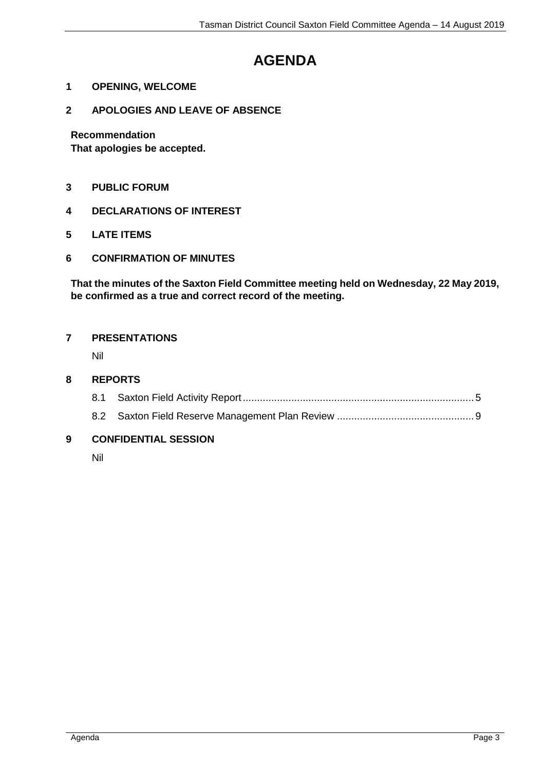## **AGENDA**

- **1 OPENING, WELCOME**
- **2 APOLOGIES AND LEAVE OF ABSENCE**

**Recommendation**

**That apologies be accepted.**

- **3 PUBLIC FORUM**
- **4 DECLARATIONS OF INTEREST**
- **5 LATE ITEMS**
- **6 CONFIRMATION OF MINUTES**

**That the minutes of the Saxton Field Committee meeting held on Wednesday, 22 May 2019, be confirmed as a true and correct record of the meeting.**

#### **7 PRESENTATIONS**

Nil

#### **8 REPORTS**

8.2 Saxton Field Reserve Management Plan Review ................................................ [9](#page-8-0)

## **9 CONFIDENTIAL SESSION**

Nil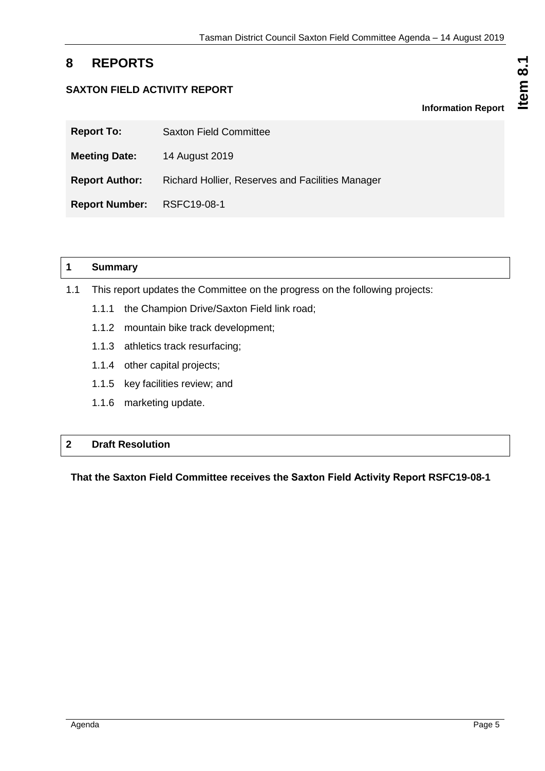## <span id="page-4-0"></span>**8 REPORTS**

## **SAXTON FIELD ACTIVITY REPORT**

| <b>Report To:</b>          | <b>Saxton Field Committee</b>                    |
|----------------------------|--------------------------------------------------|
| <b>Meeting Date:</b>       | 14 August 2019                                   |
| <b>Report Author:</b>      | Richard Hollier, Reserves and Facilities Manager |
| Report Number: RSFC19-08-1 |                                                  |

## **1 Summary**

- 1.1 This report updates the Committee on the progress on the following projects:
	- 1.1.1 the Champion Drive/Saxton Field link road;
	- 1.1.2 mountain bike track development;
	- 1.1.3 athletics track resurfacing;
	- 1.1.4 other capital projects;
	- 1.1.5 key facilities review; and
	- 1.1.6 marketing update.

## **2 Draft Resolution**

## **That the Saxton Field Committee receives the Saxton Field Activity Report RSFC19-08-1**

**Information Report**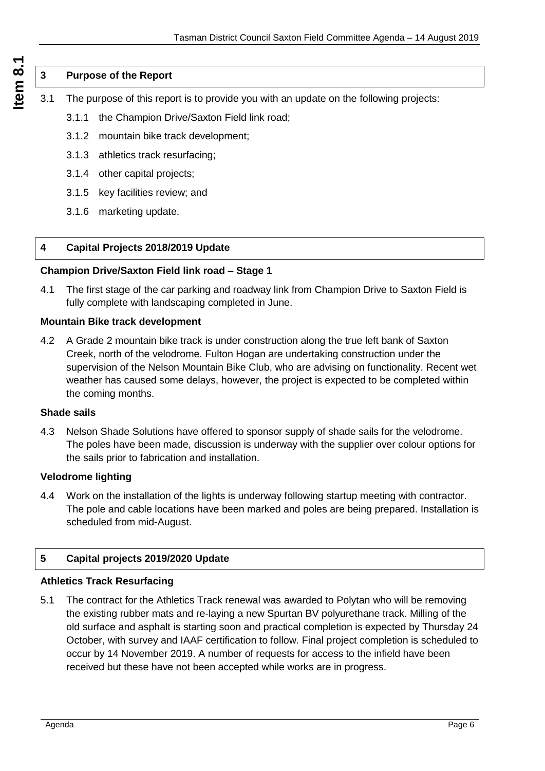## **3 Purpose of the Report**

- 3.1 The purpose of this report is to provide you with an update on the following projects:
	- 3.1.1 the Champion Drive/Saxton Field link road;
	- 3.1.2 mountain bike track development;
	- 3.1.3 athletics track resurfacing;
	- 3.1.4 other capital projects;
	- 3.1.5 key facilities review; and
	- 3.1.6 marketing update.

#### **4 Capital Projects 2018/2019 Update**

#### **Champion Drive/Saxton Field link road – Stage 1**

4.1 The first stage of the car parking and roadway link from Champion Drive to Saxton Field is fully complete with landscaping completed in June.

#### **Mountain Bike track development**

4.2 A Grade 2 mountain bike track is under construction along the true left bank of Saxton Creek, north of the velodrome. Fulton Hogan are undertaking construction under the supervision of the Nelson Mountain Bike Club, who are advising on functionality. Recent wet weather has caused some delays, however, the project is expected to be completed within the coming months.

#### **Shade sails**

4.3 Nelson Shade Solutions have offered to sponsor supply of shade sails for the velodrome. The poles have been made, discussion is underway with the supplier over colour options for the sails prior to fabrication and installation.

#### **Velodrome lighting**

4.4 Work on the installation of the lights is underway following startup meeting with contractor. The pole and cable locations have been marked and poles are being prepared. Installation is scheduled from mid-August.

#### **5 Capital projects 2019/2020 Update**

#### **Athletics Track Resurfacing**

5.1 The contract for the Athletics Track renewal was awarded to Polytan who will be removing the existing rubber mats and re-laying a new Spurtan BV polyurethane track. Milling of the old surface and asphalt is starting soon and practical completion is expected by Thursday 24 October, with survey and IAAF certification to follow. Final project completion is scheduled to occur by 14 November 2019. A number of requests for access to the infield have been received but these have not been accepted while works are in progress.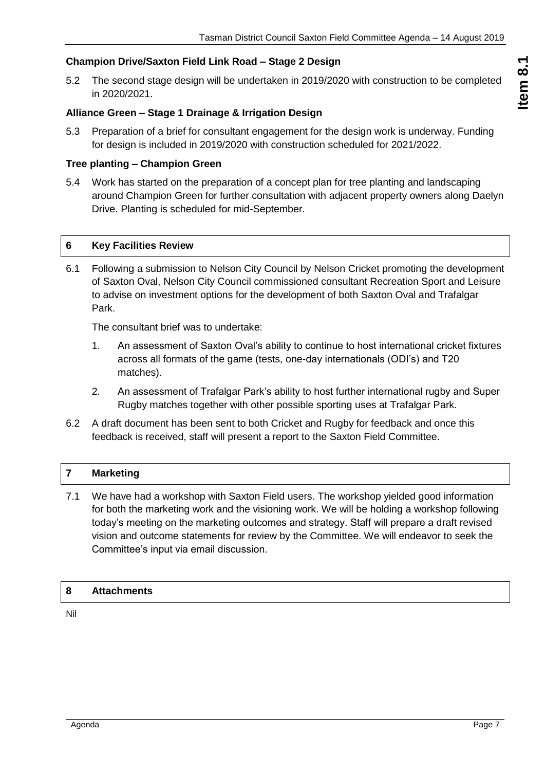## **Champion Drive/Saxton Field Link Road – Stage 2 Design**

5.2 The second stage design will be undertaken in 2019/2020 with construction to be completed in 2020/2021.

## **Alliance Green – Stage 1 Drainage & Irrigation Design**

5.3 Preparation of a brief for consultant engagement for the design work is underway. Funding for design is included in 2019/2020 with construction scheduled for 2021/2022.

#### **Tree planting – Champion Green**

5.4 Work has started on the preparation of a concept plan for tree planting and landscaping around Champion Green for further consultation with adjacent property owners along Daelyn Drive. Planting is scheduled for mid-September.

#### **6 Key Facilities Review**

6.1 Following a submission to Nelson City Council by Nelson Cricket promoting the development of Saxton Oval, Nelson City Council commissioned consultant Recreation Sport and Leisure to advise on investment options for the development of both Saxton Oval and Trafalgar Park.

The consultant brief was to undertake:

- 1. An assessment of Saxton Oval's ability to continue to host international cricket fixtures across all formats of the game (tests, one-day internationals (ODI's) and T20 matches).
- 2. An assessment of Trafalgar Park's ability to host further international rugby and Super Rugby matches together with other possible sporting uses at Trafalgar Park.
- 6.2 A draft document has been sent to both Cricket and Rugby for feedback and once this feedback is received, staff will present a report to the Saxton Field Committee.

#### **7 Marketing**

7.1 We have had a workshop with Saxton Field users. The workshop yielded good information for both the marketing work and the visioning work. We will be holding a workshop following today's meeting on the marketing outcomes and strategy. Staff will prepare a draft revised vision and outcome statements for review by the Committee. We will endeavor to seek the Committee's input via email discussion.

#### **8 Attachments**

Nil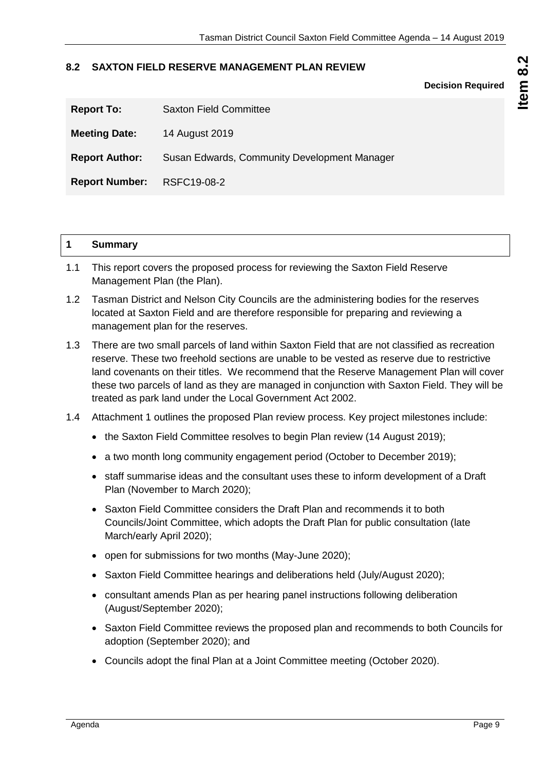#### <span id="page-8-0"></span>**8.2 SAXTON FIELD RESERVE MANAGEMENT PLAN REVIEW**

**Decision Required**

| <b>Report To:</b>     | <b>Saxton Field Committee</b>                |
|-----------------------|----------------------------------------------|
| <b>Meeting Date:</b>  | 14 August 2019                               |
| <b>Report Author:</b> | Susan Edwards, Community Development Manager |
| <b>Report Number:</b> | RSFC19-08-2                                  |

| и<br>. . | $P_{11}$ mmari<br>oummary |  |  |
|----------|---------------------------|--|--|
|----------|---------------------------|--|--|

- 1.1 This report covers the proposed process for reviewing the Saxton Field Reserve Management Plan (the Plan).
- 1.2 Tasman District and Nelson City Councils are the administering bodies for the reserves located at Saxton Field and are therefore responsible for preparing and reviewing a management plan for the reserves.
- 1.3 There are two small parcels of land within Saxton Field that are not classified as recreation reserve. These two freehold sections are unable to be vested as reserve due to restrictive land covenants on their titles. We recommend that the Reserve Management Plan will cover these two parcels of land as they are managed in conjunction with Saxton Field. They will be treated as park land under the Local Government Act 2002.
- 1.4 Attachment 1 outlines the proposed Plan review process. Key project milestones include:
	- the Saxton Field Committee resolves to begin Plan review (14 August 2019):
	- a two month long community engagement period (October to December 2019);
	- staff summarise ideas and the consultant uses these to inform development of a Draft Plan (November to March 2020);
	- Saxton Field Committee considers the Draft Plan and recommends it to both Councils/Joint Committee, which adopts the Draft Plan for public consultation (late March/early April 2020);
	- open for submissions for two months (May-June 2020);
	- Saxton Field Committee hearings and deliberations held (July/August 2020);
	- consultant amends Plan as per hearing panel instructions following deliberation (August/September 2020);
	- Saxton Field Committee reviews the proposed plan and recommends to both Councils for adoption (September 2020); and
	- Councils adopt the final Plan at a Joint Committee meeting (October 2020).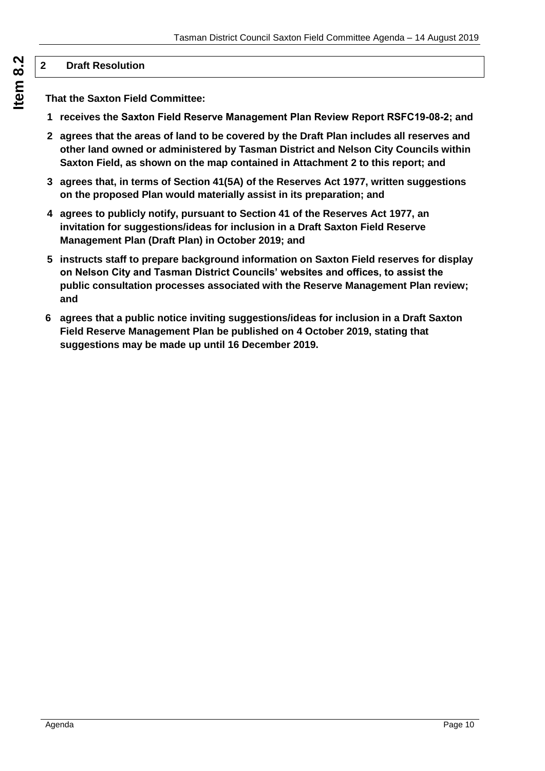## **2 Draft Resolution**

**That the Saxton Field Committee:**

- **1 receives the Saxton Field Reserve Management Plan Review Report RSFC19-08-2; and**
- **2 agrees that the areas of land to be covered by the Draft Plan includes all reserves and other land owned or administered by Tasman District and Nelson City Councils within Saxton Field, as shown on the map contained in Attachment 2 to this report; and**
- **3 agrees that, in terms of Section 41(5A) of the Reserves Act 1977, written suggestions on the proposed Plan would materially assist in its preparation; and**
- **4 agrees to publicly notify, pursuant to Section 41 of the Reserves Act 1977, an invitation for suggestions/ideas for inclusion in a Draft Saxton Field Reserve Management Plan (Draft Plan) in October 2019; and**
- **5 instructs staff to prepare background information on Saxton Field reserves for display on Nelson City and Tasman District Councils' websites and offices, to assist the public consultation processes associated with the Reserve Management Plan review; and**
- **6 agrees that a public notice inviting suggestions/ideas for inclusion in a Draft Saxton Field Reserve Management Plan be published on 4 October 2019, stating that suggestions may be made up until 16 December 2019.**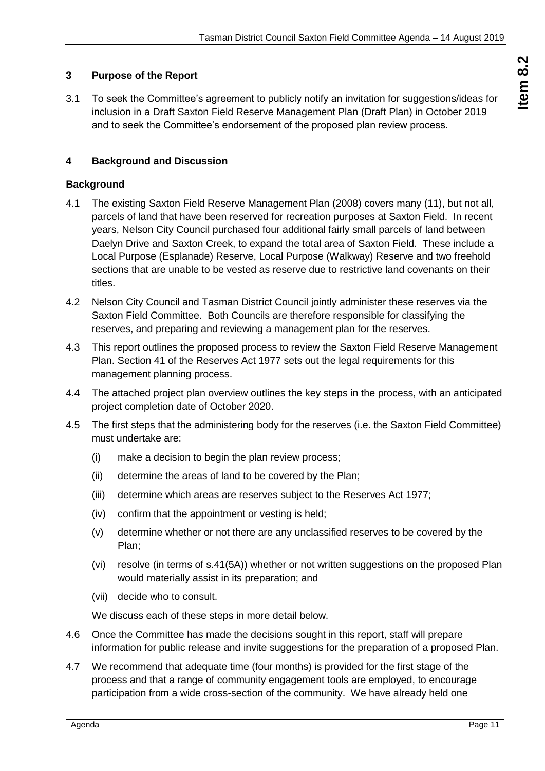## **3 Purpose of the Report**

3.1 To seek the Committee's agreement to publicly notify an invitation for suggestions/ideas for inclusion in a Draft Saxton Field Reserve Management Plan (Draft Plan) in October 2019 and to seek the Committee's endorsement of the proposed plan review process.

## **4 Background and Discussion**

#### **Background**

- 4.1 The existing Saxton Field Reserve Management Plan (2008) covers many (11), but not all, parcels of land that have been reserved for recreation purposes at Saxton Field. In recent years, Nelson City Council purchased four additional fairly small parcels of land between Daelyn Drive and Saxton Creek, to expand the total area of Saxton Field. These include a Local Purpose (Esplanade) Reserve, Local Purpose (Walkway) Reserve and two freehold sections that are unable to be vested as reserve due to restrictive land covenants on their titles.
- 4.2 Nelson City Council and Tasman District Council jointly administer these reserves via the Saxton Field Committee. Both Councils are therefore responsible for classifying the reserves, and preparing and reviewing a management plan for the reserves.
- 4.3 This report outlines the proposed process to review the Saxton Field Reserve Management Plan. Section 41 of the Reserves Act 1977 sets out the legal requirements for this management planning process.
- 4.4 The attached project plan overview outlines the key steps in the process, with an anticipated project completion date of October 2020.
- 4.5 The first steps that the administering body for the reserves (i.e. the Saxton Field Committee) must undertake are:
	- (i) make a decision to begin the plan review process;
	- (ii) determine the areas of land to be covered by the Plan;
	- (iii) determine which areas are reserves subject to the Reserves Act 1977;
	- (iv) confirm that the appointment or vesting is held;
	- (v) determine whether or not there are any unclassified reserves to be covered by the Plan;
	- (vi) resolve (in terms of s.41(5A)) whether or not written suggestions on the proposed Plan would materially assist in its preparation; and
	- (vii) decide who to consult.

We discuss each of these steps in more detail below.

- 4.6 Once the Committee has made the decisions sought in this report, staff will prepare information for public release and invite suggestions for the preparation of a proposed Plan.
- 4.7 We recommend that adequate time (four months) is provided for the first stage of the process and that a range of community engagement tools are employed, to encourage participation from a wide cross-section of the community. We have already held one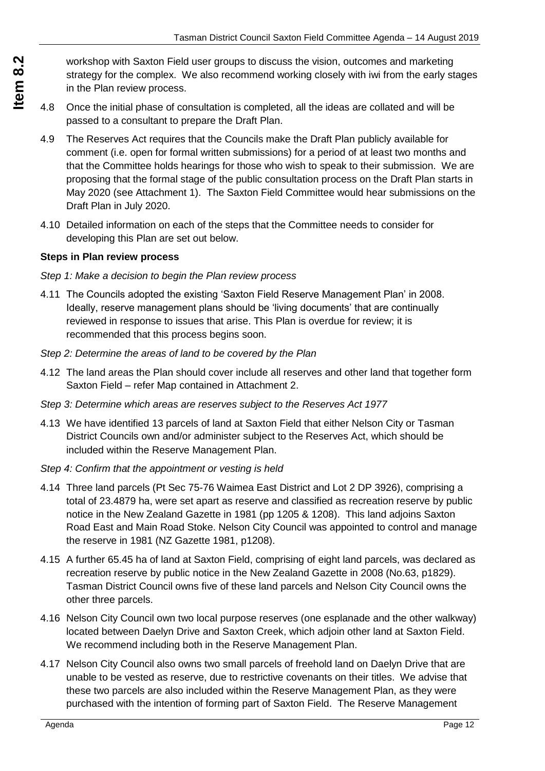workshop with Saxton Field user groups to discuss the vision, outcomes and marketing strategy for the complex. We also recommend working closely with iwi from the early stages in the Plan review process.

- 4.8 Once the initial phase of consultation is completed, all the ideas are collated and will be passed to a consultant to prepare the Draft Plan.
- 4.9 The Reserves Act requires that the Councils make the Draft Plan publicly available for comment (i.e. open for formal written submissions) for a period of at least two months and that the Committee holds hearings for those who wish to speak to their submission. We are proposing that the formal stage of the public consultation process on the Draft Plan starts in May 2020 (see Attachment 1). The Saxton Field Committee would hear submissions on the Draft Plan in July 2020.
- 4.10 Detailed information on each of the steps that the Committee needs to consider for developing this Plan are set out below.

#### **Steps in Plan review process**

- *Step 1: Make a decision to begin the Plan review process*
- 4.11 The Councils adopted the existing 'Saxton Field Reserve Management Plan' in 2008. Ideally, reserve management plans should be 'living documents' that are continually reviewed in response to issues that arise. This Plan is overdue for review; it is recommended that this process begins soon.
- *Step 2: Determine the areas of land to be covered by the Plan*
- 4.12 The land areas the Plan should cover include all reserves and other land that together form Saxton Field – refer Map contained in Attachment 2.
- *Step 3: Determine which areas are reserves subject to the Reserves Act 1977*
- 4.13 We have identified 13 parcels of land at Saxton Field that either Nelson City or Tasman District Councils own and/or administer subject to the Reserves Act, which should be included within the Reserve Management Plan.
- *Step 4: Confirm that the appointment or vesting is held*
- 4.14 Three land parcels (Pt Sec 75-76 Waimea East District and Lot 2 DP 3926), comprising a total of 23.4879 ha, were set apart as reserve and classified as recreation reserve by public notice in the New Zealand Gazette in 1981 (pp 1205 & 1208). This land adjoins Saxton Road East and Main Road Stoke. Nelson City Council was appointed to control and manage the reserve in 1981 (NZ Gazette 1981, p1208).
- 4.15 A further 65.45 ha of land at Saxton Field, comprising of eight land parcels, was declared as recreation reserve by public notice in the New Zealand Gazette in 2008 (No.63, p1829). Tasman District Council owns five of these land parcels and Nelson City Council owns the other three parcels.
- 4.16 Nelson City Council own two local purpose reserves (one esplanade and the other walkway) located between Daelyn Drive and Saxton Creek, which adjoin other land at Saxton Field. We recommend including both in the Reserve Management Plan.
- 4.17 Nelson City Council also owns two small parcels of freehold land on Daelyn Drive that are unable to be vested as reserve, due to restrictive covenants on their titles. We advise that these two parcels are also included within the Reserve Management Plan, as they were purchased with the intention of forming part of Saxton Field. The Reserve Management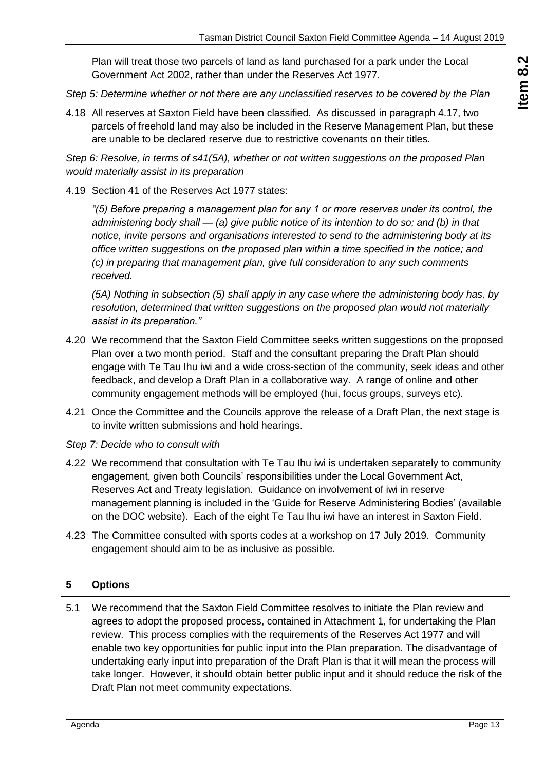Plan will treat those two parcels of land as land purchased for a park under the Local Government Act 2002, rather than under the Reserves Act 1977.

- *Step 5: Determine whether or not there are any unclassified reserves to be covered by the Plan*
- 4.18 All reserves at Saxton Field have been classified. As discussed in paragraph 4.17, two parcels of freehold land may also be included in the Reserve Management Plan, but these are unable to be declared reserve due to restrictive covenants on their titles.

*Step 6: Resolve, in terms of s41(5A), whether or not written suggestions on the proposed Plan would materially assist in its preparation*

4.19 Section 41 of the Reserves Act 1977 states:

*"(5) Before preparing a management plan for any 1 or more reserves under its control, the administering body shall — (a) give public notice of its intention to do so; and (b) in that notice, invite persons and organisations interested to send to the administering body at its office written suggestions on the proposed plan within a time specified in the notice; and (c) in preparing that management plan, give full consideration to any such comments received.* 

*(5A) Nothing in subsection (5) shall apply in any case where the administering body has, by resolution, determined that written suggestions on the proposed plan would not materially assist in its preparation."*

- 4.20 We recommend that the Saxton Field Committee seeks written suggestions on the proposed Plan over a two month period. Staff and the consultant preparing the Draft Plan should engage with Te Tau Ihu iwi and a wide cross-section of the community, seek ideas and other feedback, and develop a Draft Plan in a collaborative way. A range of online and other community engagement methods will be employed (hui, focus groups, surveys etc).
- 4.21 Once the Committee and the Councils approve the release of a Draft Plan, the next stage is to invite written submissions and hold hearings.
- *Step 7: Decide who to consult with*
- 4.22 We recommend that consultation with Te Tau Ihu iwi is undertaken separately to community engagement, given both Councils' responsibilities under the Local Government Act, Reserves Act and Treaty legislation. Guidance on involvement of iwi in reserve management planning is included in the 'Guide for Reserve Administering Bodies' (available on the DOC website). Each of the eight Te Tau Ihu iwi have an interest in Saxton Field.
- 4.23 The Committee consulted with sports codes at a workshop on 17 July 2019. Community engagement should aim to be as inclusive as possible.

#### **5 Options**

5.1 We recommend that the Saxton Field Committee resolves to initiate the Plan review and agrees to adopt the proposed process, contained in Attachment 1, for undertaking the Plan review. This process complies with the requirements of the Reserves Act 1977 and will enable two key opportunities for public input into the Plan preparation. The disadvantage of undertaking early input into preparation of the Draft Plan is that it will mean the process will take longer. However, it should obtain better public input and it should reduce the risk of the Draft Plan not meet community expectations.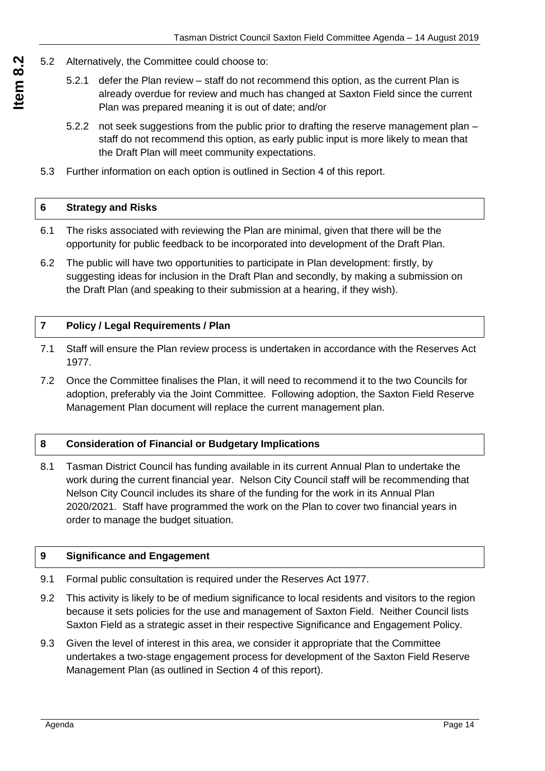- 5.2 Alternatively, the Committee could choose to:
	- 5.2.1 defer the Plan review staff do not recommend this option, as the current Plan is already overdue for review and much has changed at Saxton Field since the current Plan was prepared meaning it is out of date; and/or
	- 5.2.2 not seek suggestions from the public prior to drafting the reserve management plan staff do not recommend this option, as early public input is more likely to mean that the Draft Plan will meet community expectations.
	- 5.3 Further information on each option is outlined in Section 4 of this report.

|  | 6 Strategy and Risks |  |
|--|----------------------|--|
|--|----------------------|--|

- 6.1 The risks associated with reviewing the Plan are minimal, given that there will be the opportunity for public feedback to be incorporated into development of the Draft Plan.
- 6.2 The public will have two opportunities to participate in Plan development: firstly, by suggesting ideas for inclusion in the Draft Plan and secondly, by making a submission on the Draft Plan (and speaking to their submission at a hearing, if they wish).

## **7 Policy / Legal Requirements / Plan**

- 7.1 Staff will ensure the Plan review process is undertaken in accordance with the Reserves Act 1977.
- 7.2 Once the Committee finalises the Plan, it will need to recommend it to the two Councils for adoption, preferably via the Joint Committee. Following adoption, the Saxton Field Reserve Management Plan document will replace the current management plan.

## **8 Consideration of Financial or Budgetary Implications**

8.1 Tasman District Council has funding available in its current Annual Plan to undertake the work during the current financial year. Nelson City Council staff will be recommending that Nelson City Council includes its share of the funding for the work in its Annual Plan 2020/2021. Staff have programmed the work on the Plan to cover two financial years in order to manage the budget situation.

## **9 Significance and Engagement**

- 9.1 Formal public consultation is required under the Reserves Act 1977.
- 9.2 This activity is likely to be of medium significance to local residents and visitors to the region because it sets policies for the use and management of Saxton Field. Neither Council lists Saxton Field as a strategic asset in their respective Significance and Engagement Policy.
- 9.3 Given the level of interest in this area, we consider it appropriate that the Committee undertakes a two-stage engagement process for development of the Saxton Field Reserve Management Plan (as outlined in Section 4 of this report).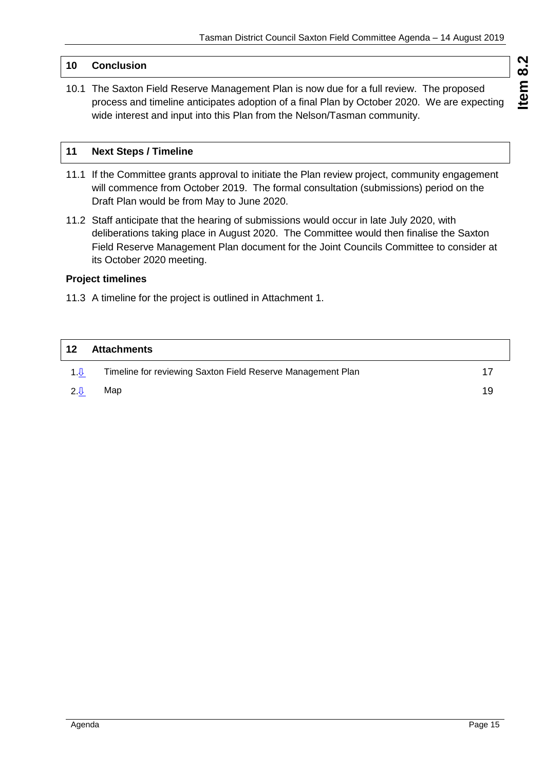## **10 Conclusion**

10.1 The Saxton Field Reserve Management Plan is now due for a full review. The proposed process and timeline anticipates adoption of a final Plan by October 2020. We are expecting wide interest and input into this Plan from the Nelson/Tasman community.

## **11 Next Steps / Timeline**

- 11.1 If the Committee grants approval to initiate the Plan review project, community engagement will commence from October 2019. The formal consultation (submissions) period on the Draft Plan would be from May to June 2020.
- 11.2 Staff anticipate that the hearing of submissions would occur in late July 2020, with deliberations taking place in August 2020. The Committee would then finalise the Saxton Field Reserve Management Plan document for the Joint Councils Committee to consider at its October 2020 meeting.

## **Project timelines**

11.3 A timeline for the project is outlined in Attachment 1.

| 12             | <b>Attachments</b>                                          |    |
|----------------|-------------------------------------------------------------|----|
| 1 <sub>0</sub> | Timeline for reviewing Saxton Field Reserve Management Plan |    |
| 2.0            | Map                                                         | 19 |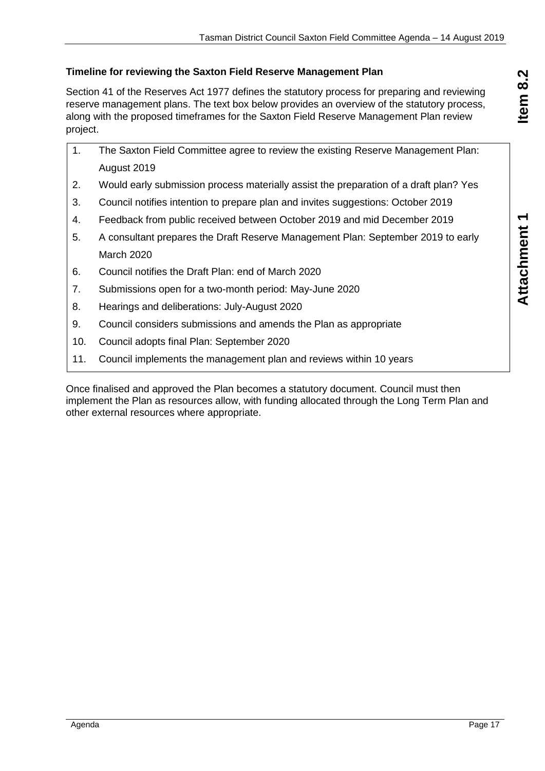## <span id="page-16-0"></span>**Timeline for reviewing the Saxton Field Reserve Management Plan**

Section 41 of the Reserves Act 1977 defines the statutory process for preparing and reviewing reserve management plans. The text box below provides an overview of the statutory process, along with the proposed timeframes for the Saxton Field Reserve Management Plan review project.

|    | The Saxton Field Committee agree to review the existing Reserve Management Plan:      |
|----|---------------------------------------------------------------------------------------|
|    | August 2019                                                                           |
|    | Would early submission process materially assist the preparation of a draft plan? Yes |
| 3. | Council notifies intention to prepare plan and invites suggestions: October 2019      |

- 4. Feedback from public received between October 2019 and mid December 2019
- 5. A consultant prepares the Draft Reserve Management Plan: September 2019 to early March 2020
- 6. Council notifies the Draft Plan: end of March 2020
- 7. Submissions open for a two-month period: May-June 2020
- 8. Hearings and deliberations: July-August 2020
- 9. Council considers submissions and amends the Plan as appropriate
- 10. Council adopts final Plan: September 2020
- 11. Council implements the management plan and reviews within 10 years

Once finalised and approved the Plan becomes a statutory document. Council must then implement the Plan as resources allow, with funding allocated through the Long Term Plan and other external resources where appropriate.

**Attachment 1 Item 8.2**

Attachment 1

Item 8.2